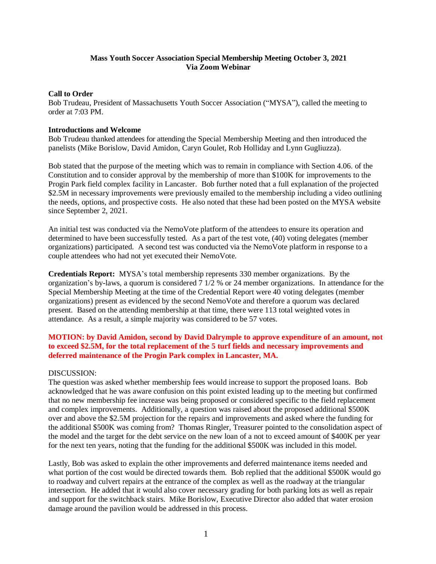## **Mass Youth Soccer Association Special Membership Meeting October 3, 2021 Via Zoom Webinar**

### **Call to Order**

Bob Trudeau, President of Massachusetts Youth Soccer Association ("MYSA"), called the meeting to order at 7:03 PM.

#### **Introductions and Welcome**

Bob Trudeau thanked attendees for attending the Special Membership Meeting and then introduced the panelists (Mike Borislow, David Amidon, Caryn Goulet, Rob Holliday and Lynn Gugliuzza).

Bob stated that the purpose of the meeting which was to remain in compliance with Section 4.06. of the Constitution and to consider approval by the membership of more than \$100K for improvements to the Progin Park field complex facility in Lancaster. Bob further noted that a full explanation of the projected \$2.5M in necessary improvements were previously emailed to the membership including a video outlining the needs, options, and prospective costs. He also noted that these had been posted on the MYSA website since September 2, 2021.

An initial test was conducted via the NemoVote platform of the attendees to ensure its operation and determined to have been successfully tested. As a part of the test vote, (40) voting delegates (member organizations) participated. A second test was conducted via the NemoVote platform in response to a couple attendees who had not yet executed their NemoVote.

**Credentials Report:** MYSA's total membership represents 330 member organizations. By the organization's by-laws, a quorum is considered  $\frac{7 \frac{1}{2}}{6}$  or 24 member organizations. In attendance for the Special Membership Meeting at the time of the Credential Report were 40 voting delegates (member organizations) present as evidenced by the second NemoVote and therefore a quorum was declared present. Based on the attending membership at that time, there were 113 total weighted votes in attendance. As a result, a simple majority was considered to be 57 votes.

# **MOTION: by David Amidon, second by David Dalrymple to approve expenditure of an amount, not to exceed \$2.5M, for the total replacement of the 5 turf fields and necessary improvements and deferred maintenance of the Progin Park complex in Lancaster, MA.**

## DISCUSSION:

The question was asked whether membership fees would increase to support the proposed loans. Bob acknowledged that he was aware confusion on this point existed leading up to the meeting but confirmed that no new membership fee increase was being proposed or considered specific to the field replacement and complex improvements. Additionally, a question was raised about the proposed additional \$500K over and above the \$2.5M projection for the repairs and improvements and asked where the funding for the additional \$500K was coming from? Thomas Ringler, Treasurer pointed to the consolidation aspect of the model and the target for the debt service on the new loan of a not to exceed amount of \$400K per year for the next ten years, noting that the funding for the additional \$500K was included in this model.

Lastly, Bob was asked to explain the other improvements and deferred maintenance items needed and what portion of the cost would be directed towards them. Bob replied that the additional \$500K would go to roadway and culvert repairs at the entrance of the complex as well as the roadway at the triangular intersection. He added that it would also cover necessary grading for both parking lots as well as repair and support for the switchback stairs. Mike Borislow, Executive Director also added that water erosion damage around the pavilion would be addressed in this process.